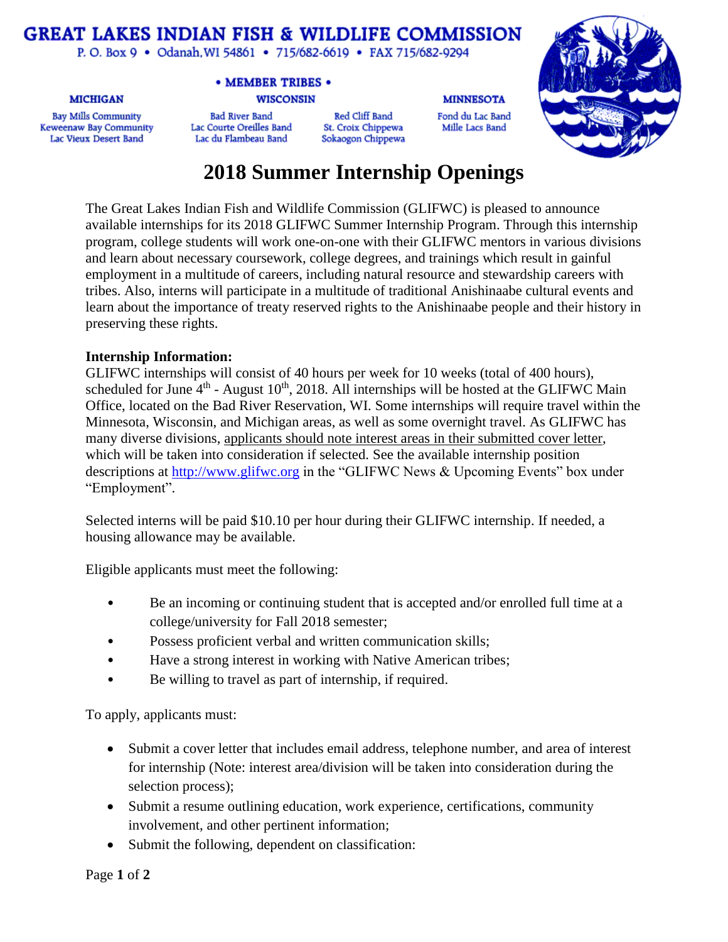## **GREAT LAKES INDIAN FISH & WILDLIFE COMMISSION**

P.O. Box 9 · Odanah, WI 54861 · 715/682-6619 · FAX 715/682-9294

#### **MICHIGAN**

**Bay Mills Community** Keweenaw Bay Community Lac Vieux Desert Band

### • MEMBER TRIBES •

#### **WISCONSIN**

**Bad River Band** Lac Courte Oreilles Band Lac du Flambeau Band

Red Cliff Band St. Croix Chippewa Sokaogon Chippewa **MINNESOTA** 

Fond du Lac Band

Mille Lacs Band



# **2018 Summer Internship Openings**

The Great Lakes Indian Fish and Wildlife Commission (GLIFWC) is pleased to announce available internships for its 2018 GLIFWC Summer Internship Program. Through this internship program, college students will work one-on-one with their GLIFWC mentors in various divisions and learn about necessary coursework, college degrees, and trainings which result in gainful employment in a multitude of careers, including natural resource and stewardship careers with tribes. Also, interns will participate in a multitude of traditional Anishinaabe cultural events and learn about the importance of treaty reserved rights to the Anishinaabe people and their history in preserving these rights.

### **Internship Information:**

GLIFWC internships will consist of 40 hours per week for 10 weeks (total of 400 hours), scheduled for June  $4<sup>th</sup>$  - August 10<sup>th</sup>, 2018. All internships will be hosted at the GLIFWC Main Office, located on the Bad River Reservation, WI. Some internships will require travel within the Minnesota, Wisconsin, and Michigan areas, as well as some overnight travel. As GLIFWC has many diverse divisions, applicants should note interest areas in their submitted cover letter, which will be taken into consideration if selected. See the available internship position descriptions at [http://www.glifwc.org](http://www.glifwc.org/) in the "GLIFWC News & Upcoming Events" box under "Employment".

Selected interns will be paid \$10.10 per hour during their GLIFWC internship. If needed, a housing allowance may be available.

Eligible applicants must meet the following:

- Be an incoming or continuing student that is accepted and/or enrolled full time at a college/university for Fall 2018 semester;
- Possess proficient verbal and written communication skills;
- Have a strong interest in working with Native American tribes;
- Be willing to travel as part of internship, if required.

To apply, applicants must:

- Submit a cover letter that includes email address, telephone number, and area of interest for internship (Note: interest area/division will be taken into consideration during the selection process);
- Submit a resume outlining education, work experience, certifications, community involvement, and other pertinent information;
- Submit the following, dependent on classification: